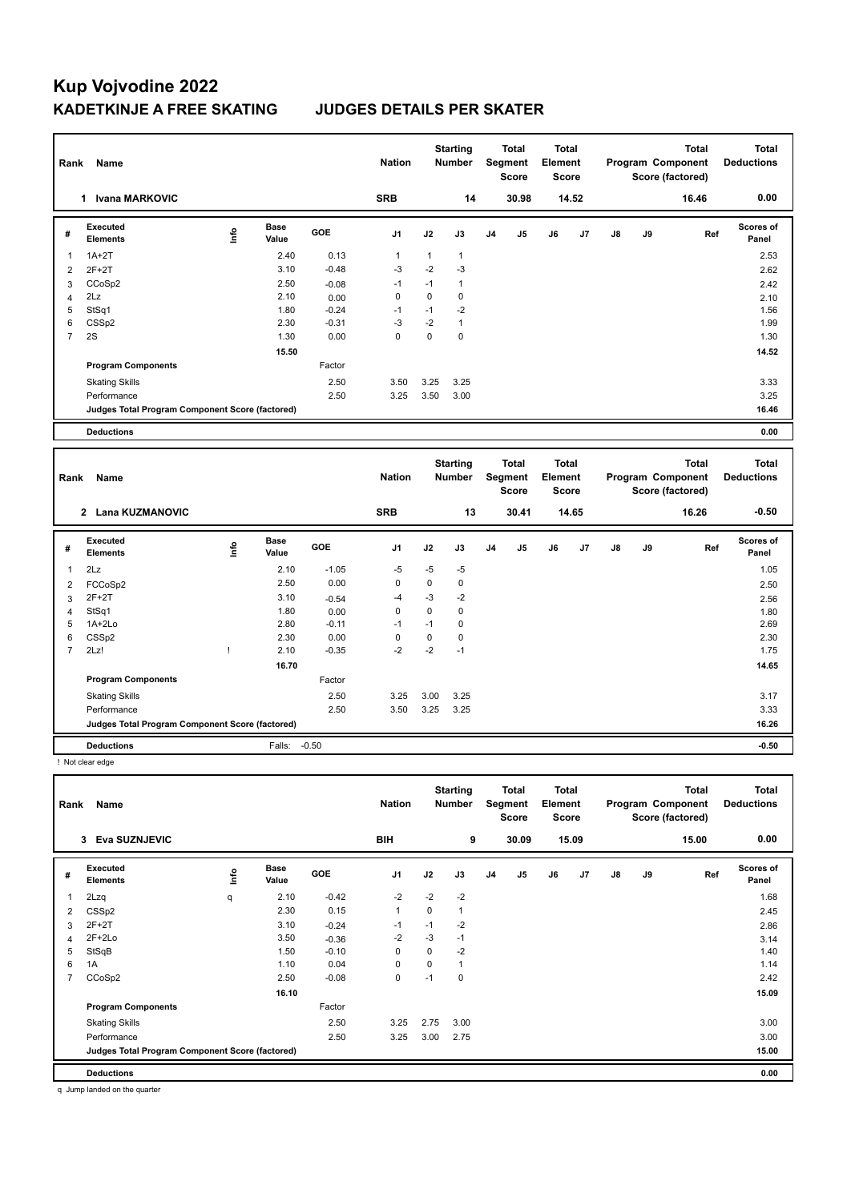| Rank           | Name                                            |      |                      |         | <b>Nation</b> |              | <b>Starting</b><br>Number        |                | Total<br>Segment<br>Score        | <b>Total</b><br>Element<br><b>Score</b> |       |    |    | <b>Total</b><br>Program Component<br>Score (factored) | <b>Total</b><br><b>Deductions</b> |
|----------------|-------------------------------------------------|------|----------------------|---------|---------------|--------------|----------------------------------|----------------|----------------------------------|-----------------------------------------|-------|----|----|-------------------------------------------------------|-----------------------------------|
|                | 1 Ivana MARKOVIC                                |      |                      |         | <b>SRB</b>    |              | 14                               |                | 30.98                            |                                         | 14.52 |    |    | 16.46                                                 | 0.00                              |
| #              | Executed<br><b>Elements</b>                     | ١nfo | <b>Base</b><br>Value | GOE     | J1            | J2           | J3                               | J <sub>4</sub> | J5                               | J6                                      | J7    | J8 | J9 | Ref                                                   | <b>Scores of</b><br>Panel         |
| 1              | $1A+2T$                                         |      | 2.40                 | 0.13    | 1             | $\mathbf{1}$ | $\mathbf{1}$                     |                |                                  |                                         |       |    |    |                                                       | 2.53                              |
| $\overline{2}$ | $2F+2T$                                         |      | 3.10                 | $-0.48$ | $-3$          | $-2$         | $-3$                             |                |                                  |                                         |       |    |    |                                                       | 2.62                              |
| 3              | CCoSp2                                          |      | 2.50                 | $-0.08$ | $-1$          | $-1$         | $\mathbf{1}$                     |                |                                  |                                         |       |    |    |                                                       | 2.42                              |
| $\overline{4}$ | 2Lz                                             |      | 2.10                 | 0.00    | 0             | $\mathbf 0$  | 0                                |                |                                  |                                         |       |    |    |                                                       | 2.10                              |
| 5              | StSq1                                           |      | 1.80                 | $-0.24$ | $-1$          | $-1$         | $-2$                             |                |                                  |                                         |       |    |    |                                                       | 1.56                              |
| 6              | CSS <sub>p2</sub>                               |      | 2.30                 | $-0.31$ | $-3$          | $-2$         | $\mathbf{1}$                     |                |                                  |                                         |       |    |    |                                                       | 1.99                              |
| $\overline{7}$ | 2S                                              |      | 1.30                 | 0.00    | 0             | $\mathbf 0$  | $\mathbf 0$                      |                |                                  |                                         |       |    |    |                                                       | 1.30                              |
|                |                                                 |      | 15.50                |         |               |              |                                  |                |                                  |                                         |       |    |    |                                                       | 14.52                             |
|                | <b>Program Components</b>                       |      |                      | Factor  |               |              |                                  |                |                                  |                                         |       |    |    |                                                       |                                   |
|                | <b>Skating Skills</b>                           |      |                      | 2.50    | 3.50          | 3.25         | 3.25                             |                |                                  |                                         |       |    |    |                                                       | 3.33                              |
|                | Performance                                     |      |                      | 2.50    | 3.25          | 3.50         | 3.00                             |                |                                  |                                         |       |    |    |                                                       | 3.25                              |
|                | Judges Total Program Component Score (factored) |      |                      |         |               |              |                                  |                |                                  |                                         |       |    |    |                                                       | 16.46                             |
|                | <b>Deductions</b>                               |      |                      |         |               |              |                                  |                |                                  |                                         |       |    |    |                                                       | 0.00                              |
| Rank           | Name                                            |      |                      |         | <b>Nation</b> |              | <b>Starting</b><br><b>Number</b> |                | Total<br>Segment<br><b>Score</b> | Total<br>Element<br><b>Score</b>        |       |    |    | <b>Total</b><br>Program Component<br>Score (factored) | <b>Total</b><br><b>Deductions</b> |
|                | 2 Lana KUZMANOVIC                               |      |                      |         | <b>SRB</b>    |              | 13                               |                | 30.41                            |                                         | 14.65 |    |    | 16.26                                                 | $-0.50$                           |
| #              | Executed<br><b>Elements</b>                     | lnfo | Base<br>Value        | GOE     | J1            | J2           | J3                               | J <sub>4</sub> | J5                               | J6                                      | J7    | J8 | J9 | Ref                                                   | <b>Scores of</b><br>Panel         |
| $\mathbf{1}$   | 2Lz                                             |      | 2.10                 | $-1.05$ | -5            | -5           | -5                               |                |                                  |                                         |       |    |    |                                                       | 1.05                              |
| 2              | FCCoSp2                                         |      | 2.50                 | 0.00    | 0             | $\mathbf 0$  | 0                                |                |                                  |                                         |       |    |    |                                                       | 2.50                              |
| 3              | $2F+2T$                                         |      | 3.10                 | $-0.54$ | $-4$          | -3           | $-2$                             |                |                                  |                                         |       |    |    |                                                       | 2.56                              |
| $\overline{4}$ | StSq1                                           |      | 1.80                 | 0.00    | 0             | $\mathbf 0$  | 0                                |                |                                  |                                         |       |    |    |                                                       | 1.80                              |
| 5              | 1A+2Lo                                          |      | 2.80                 | $-0.11$ | $-1$          | $-1$         | 0                                |                |                                  |                                         |       |    |    |                                                       | 2.69                              |
| 6              | CSSp2                                           |      | 2.30                 | 0.00    | 0             | $\mathbf 0$  | 0                                |                |                                  |                                         |       |    |    |                                                       | 2.30                              |
| $\overline{7}$ | 2Lz!                                            | Ţ    | 2.10                 | $-0.35$ | $-2$          | $-2$         | $-1$                             |                |                                  |                                         |       |    |    |                                                       | 1.75                              |
|                |                                                 |      | 16.70                |         |               |              |                                  |                |                                  |                                         |       |    |    |                                                       | 14.65                             |
|                | <b>Program Components</b>                       |      |                      | Factor  |               |              |                                  |                |                                  |                                         |       |    |    |                                                       |                                   |
|                | <b>Skating Skills</b>                           |      |                      | 2.50    | 3.25          | 3.00         | 3.25                             |                |                                  |                                         |       |    |    |                                                       | 3.17                              |
|                | Performance                                     |      |                      | 2.50    | 3.50          | 3.25         | 3.25                             |                |                                  |                                         |       |    |    |                                                       | 3.33<br>16.26                     |
|                | Judges Total Program Component Score (factored) |      |                      |         |               |              |                                  |                |                                  |                                         |       |    |    |                                                       |                                   |
|                | <b>Deductions</b>                               |      | Falls:               | $-0.50$ |               |              |                                  |                |                                  |                                         |       |    |    |                                                       | $-0.50$                           |
|                | ! Not clear edge                                |      |                      |         |               |              |                                  |                |                                  |                                         |       |    |    |                                                       |                                   |
|                | Rank Name                                       |      |                      |         | <b>Nation</b> |              | <b>Starting</b><br><b>Number</b> |                | <b>Total</b><br>Segment<br>Score | <b>Total</b><br>Element<br>Score        |       |    |    | <b>Total</b><br>Program Component<br>Score (factored) | <b>Total</b><br><b>Deductions</b> |
|                | 3 Eva SUZNJEVIC                                 |      |                      |         | BIH           |              | 9                                |                | 30.09                            |                                         | 15.09 |    |    | 15.00                                                 | 0.00                              |
| #              | Executed<br><b>Elements</b>                     | lnfo | <b>Base</b><br>Value | GOE     | J1            | J2           | J3                               | J4             | J5                               | J6                                      | J7    | J8 | J9 | Ref                                                   | Scores of<br>Panel                |

2Lzq q 1.68 **Info**

Skating Skills 3.25 2.75 3.00 2.50 3.00

Performance 2.50 3.25 3.00 2.75 3.00

**Judges Total Program Component Score (factored) 15.00**

 **16.10 15.09**

 CSSp2 2.30 0.15 1 0 1 2.45  $3 \quad 2F+2T$  2.86 2F+2Lo 3.50 -0.36 -2 -3 -1 3.14 StSqB 1.50 -0.10 0 0 -2 1.40 1A 1.10  $1.10$   $0.04$  0 0 1 CCoSp2 2.50 -0.08 0 -1 0 2.42

| Deductions | 0.00 |
|------------|------|
|            |      |

**Program Components** 

1 2.10 -0.42 -2 -2 -2

Factor

q Jump landed on the quarter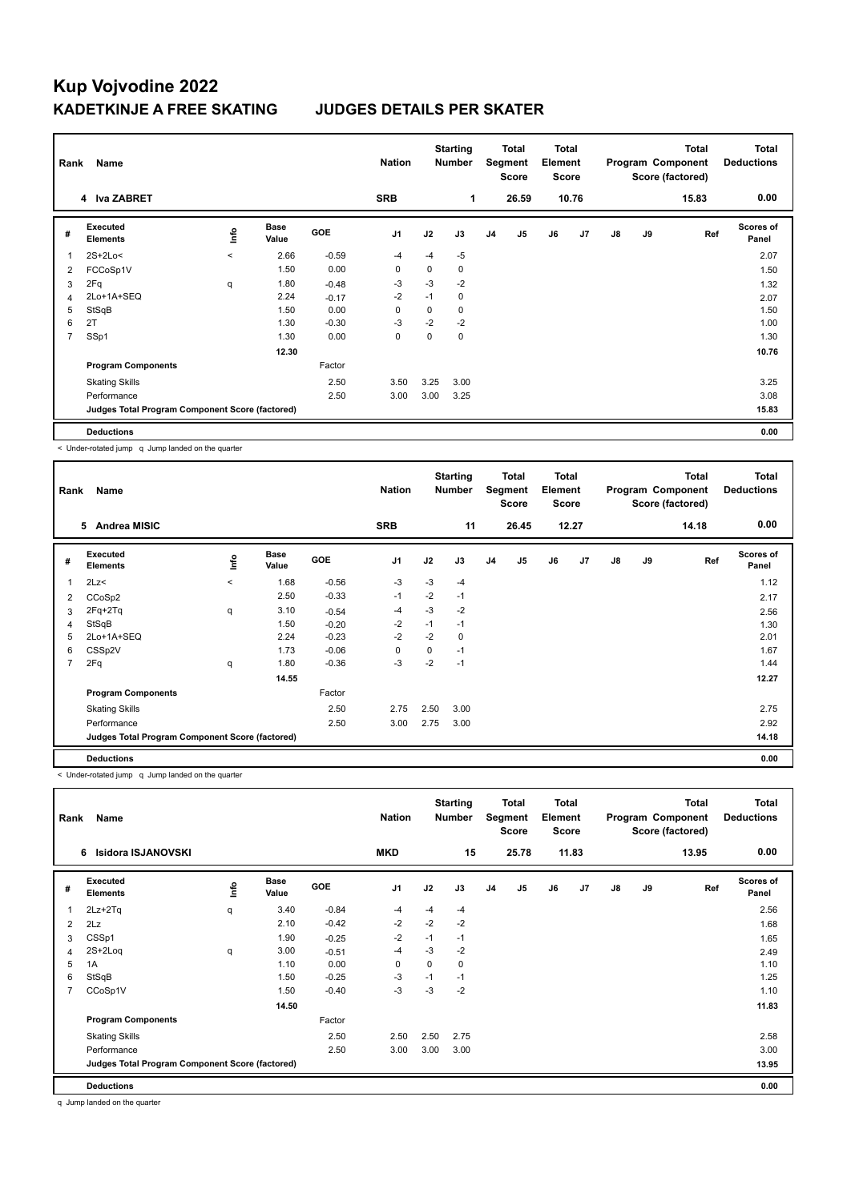| Rank           | Name                                            |             |                      |            | <b>Nation</b>  |      | <b>Starting</b><br><b>Number</b> |                | Total<br>Segment<br><b>Score</b> | Total<br>Element<br><b>Score</b> |       |    |    | <b>Total</b><br>Program Component<br>Score (factored) | <b>Total</b><br><b>Deductions</b> |
|----------------|-------------------------------------------------|-------------|----------------------|------------|----------------|------|----------------------------------|----------------|----------------------------------|----------------------------------|-------|----|----|-------------------------------------------------------|-----------------------------------|
|                | 4 Iva ZABRET                                    |             |                      |            | <b>SRB</b>     |      | 1                                |                | 26.59                            |                                  | 10.76 |    |    | 15.83                                                 | 0.00                              |
| #              | Executed<br><b>Elements</b>                     | <u>info</u> | <b>Base</b><br>Value | <b>GOE</b> | J <sub>1</sub> | J2   | J3                               | J <sub>4</sub> | J <sub>5</sub>                   | J6                               | J7    | J8 | J9 | Ref                                                   | <b>Scores of</b><br>Panel         |
|                | $2S+2Lo<$                                       | $\prec$     | 2.66                 | $-0.59$    | $-4$           | $-4$ | $-5$                             |                |                                  |                                  |       |    |    |                                                       | 2.07                              |
| 2              | FCCoSp1V                                        |             | 1.50                 | 0.00       | $\mathbf 0$    | 0    | 0                                |                |                                  |                                  |       |    |    |                                                       | 1.50                              |
| 3              | 2Fq                                             | q           | 1.80                 | $-0.48$    | -3             | $-3$ | $-2$                             |                |                                  |                                  |       |    |    |                                                       | 1.32                              |
| 4              | 2Lo+1A+SEQ                                      |             | 2.24                 | $-0.17$    | $-2$           | $-1$ | $\mathbf 0$                      |                |                                  |                                  |       |    |    |                                                       | 2.07                              |
| 5              | StSqB                                           |             | 1.50                 | 0.00       | 0              | 0    | 0                                |                |                                  |                                  |       |    |    |                                                       | 1.50                              |
| 6              | 2T                                              |             | 1.30                 | $-0.30$    | -3             | $-2$ | $-2$                             |                |                                  |                                  |       |    |    |                                                       | 1.00                              |
| $\overline{7}$ | SSp1                                            |             | 1.30                 | 0.00       | 0              | 0    | $\mathbf 0$                      |                |                                  |                                  |       |    |    |                                                       | 1.30                              |
|                |                                                 |             | 12.30                |            |                |      |                                  |                |                                  |                                  |       |    |    |                                                       | 10.76                             |
|                | <b>Program Components</b>                       |             |                      | Factor     |                |      |                                  |                |                                  |                                  |       |    |    |                                                       |                                   |
|                | <b>Skating Skills</b>                           |             |                      | 2.50       | 3.50           | 3.25 | 3.00                             |                |                                  |                                  |       |    |    |                                                       | 3.25                              |
|                | Performance                                     |             |                      | 2.50       | 3.00           | 3.00 | 3.25                             |                |                                  |                                  |       |    |    |                                                       | 3.08                              |
|                | Judges Total Program Component Score (factored) |             |                      |            |                |      |                                  |                |                                  |                                  |       |    |    |                                                       | 15.83                             |
|                | <b>Deductions</b>                               |             |                      |            |                |      |                                  |                |                                  |                                  |       |    |    |                                                       | 0.00                              |

< Under-rotated jump q Jump landed on the quarter

| Rank           | Name                                            |         |                      |            | <b>Nation</b>  |      | <b>Starting</b><br><b>Number</b> |                | <b>Total</b><br>Segment<br><b>Score</b> | Total<br>Element<br><b>Score</b> |       |               |    | <b>Total</b><br>Program Component<br>Score (factored) | <b>Total</b><br><b>Deductions</b> |
|----------------|-------------------------------------------------|---------|----------------------|------------|----------------|------|----------------------------------|----------------|-----------------------------------------|----------------------------------|-------|---------------|----|-------------------------------------------------------|-----------------------------------|
|                | 5<br>Andrea MISIC                               |         |                      |            | <b>SRB</b>     |      | 11                               |                | 26.45                                   |                                  | 12.27 |               |    | 14.18                                                 | 0.00                              |
| #              | <b>Executed</b><br><b>Elements</b>              | ١m      | <b>Base</b><br>Value | <b>GOE</b> | J <sub>1</sub> | J2   | J3                               | J <sub>4</sub> | J5                                      | J6                               | J7    | $\mathsf{J}8$ | J9 | Ref                                                   | <b>Scores of</b><br>Panel         |
| 1              | 2Lz<                                            | $\prec$ | 1.68                 | $-0.56$    | $-3$           | $-3$ | $-4$                             |                |                                         |                                  |       |               |    |                                                       | 1.12                              |
| 2              | CCoSp2                                          |         | 2.50                 | $-0.33$    | $-1$           | $-2$ | $-1$                             |                |                                         |                                  |       |               |    |                                                       | 2.17                              |
| 3              | $2Fq+2Tq$                                       | q       | 3.10                 | $-0.54$    | $-4$           | $-3$ | $-2$                             |                |                                         |                                  |       |               |    |                                                       | 2.56                              |
| 4              | StSqB                                           |         | 1.50                 | $-0.20$    | $-2$           | $-1$ | $-1$                             |                |                                         |                                  |       |               |    |                                                       | 1.30                              |
| 5              | 2Lo+1A+SEQ                                      |         | 2.24                 | $-0.23$    | $-2$           | $-2$ | 0                                |                |                                         |                                  |       |               |    |                                                       | 2.01                              |
| 6              | CSSp2V                                          |         | 1.73                 | $-0.06$    | 0              | 0    | $-1$                             |                |                                         |                                  |       |               |    |                                                       | 1.67                              |
| $\overline{7}$ | 2Fq                                             | q       | 1.80                 | $-0.36$    | $-3$           | $-2$ | $-1$                             |                |                                         |                                  |       |               |    |                                                       | 1.44                              |
|                |                                                 |         | 14.55                |            |                |      |                                  |                |                                         |                                  |       |               |    |                                                       | 12.27                             |
|                | <b>Program Components</b>                       |         |                      | Factor     |                |      |                                  |                |                                         |                                  |       |               |    |                                                       |                                   |
|                | <b>Skating Skills</b>                           |         |                      | 2.50       | 2.75           | 2.50 | 3.00                             |                |                                         |                                  |       |               |    |                                                       | 2.75                              |
|                | Performance                                     |         |                      | 2.50       | 3.00           | 2.75 | 3.00                             |                |                                         |                                  |       |               |    |                                                       | 2.92                              |
|                | Judges Total Program Component Score (factored) |         |                      |            |                |      |                                  |                |                                         |                                  |       |               |    |                                                       | 14.18                             |
|                | <b>Deductions</b>                               |         |                      |            |                |      |                                  |                |                                         |                                  |       |               |    |                                                       | 0.00                              |

< Under-rotated jump q Jump landed on the quarter

| Rank           | Name                                            |      |                      |            | <b>Nation</b>  |      | <b>Starting</b><br><b>Number</b> |                | <b>Total</b><br>Segment<br><b>Score</b> | Total<br>Element<br><b>Score</b> |       |               |    | <b>Total</b><br>Program Component<br>Score (factored) | Total<br><b>Deductions</b> |
|----------------|-------------------------------------------------|------|----------------------|------------|----------------|------|----------------------------------|----------------|-----------------------------------------|----------------------------------|-------|---------------|----|-------------------------------------------------------|----------------------------|
|                | Isidora ISJANOVSKI<br>6                         |      |                      |            | <b>MKD</b>     |      | 15                               |                | 25.78                                   |                                  | 11.83 |               |    | 13.95                                                 | 0.00                       |
| #              | Executed<br><b>Elements</b>                     | ١nf٥ | <b>Base</b><br>Value | <b>GOE</b> | J <sub>1</sub> | J2   | J3                               | J <sub>4</sub> | J5                                      | J6                               | J7    | $\mathsf{J}8$ | J9 | Ref                                                   | <b>Scores of</b><br>Panel  |
| 1              | $2Lz + 2Tq$                                     | q    | 3.40                 | $-0.84$    | $-4$           | $-4$ | $-4$                             |                |                                         |                                  |       |               |    |                                                       | 2.56                       |
| $\overline{2}$ | 2Lz                                             |      | 2.10                 | $-0.42$    | $-2$           | $-2$ | $-2$                             |                |                                         |                                  |       |               |    |                                                       | 1.68                       |
| 3              | CSSp1                                           |      | 1.90                 | $-0.25$    | $-2$           | $-1$ | $-1$                             |                |                                         |                                  |       |               |    |                                                       | 1.65                       |
| $\overline{4}$ | $2S+2Log$                                       | q    | 3.00                 | $-0.51$    | $-4$           | $-3$ | $-2$                             |                |                                         |                                  |       |               |    |                                                       | 2.49                       |
| 5              | 1A                                              |      | 1.10                 | 0.00       | 0              | 0    | 0                                |                |                                         |                                  |       |               |    |                                                       | 1.10                       |
| 6              | StSqB                                           |      | 1.50                 | $-0.25$    | -3             | $-1$ | $-1$                             |                |                                         |                                  |       |               |    |                                                       | 1.25                       |
| 7              | CCoSp1V                                         |      | 1.50                 | $-0.40$    | $-3$           | $-3$ | $-2$                             |                |                                         |                                  |       |               |    |                                                       | 1.10                       |
|                |                                                 |      | 14.50                |            |                |      |                                  |                |                                         |                                  |       |               |    |                                                       | 11.83                      |
|                | <b>Program Components</b>                       |      |                      | Factor     |                |      |                                  |                |                                         |                                  |       |               |    |                                                       |                            |
|                | <b>Skating Skills</b>                           |      |                      | 2.50       | 2.50           | 2.50 | 2.75                             |                |                                         |                                  |       |               |    |                                                       | 2.58                       |
|                | Performance                                     |      |                      | 2.50       | 3.00           | 3.00 | 3.00                             |                |                                         |                                  |       |               |    |                                                       | 3.00                       |
|                | Judges Total Program Component Score (factored) |      |                      |            |                |      |                                  |                |                                         |                                  |       |               |    |                                                       | 13.95                      |
|                | <b>Deductions</b>                               |      |                      |            |                |      |                                  |                |                                         |                                  |       |               |    |                                                       | 0.00                       |

q Jump landed on the quarter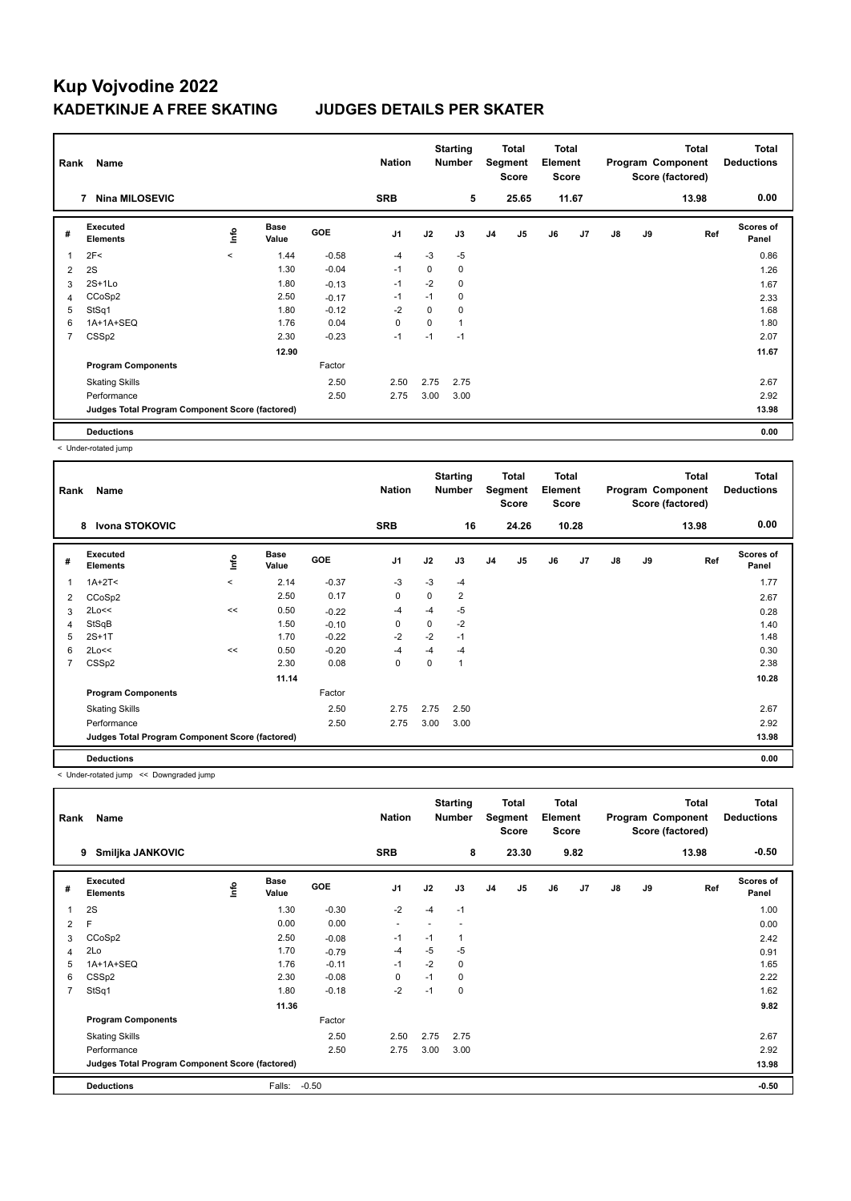| Rank | Name                                            |             |                      |            | <b>Nation</b>  |      | <b>Starting</b><br><b>Number</b> |                | Total<br>Segment<br><b>Score</b> | <b>Total</b><br>Element<br><b>Score</b> |       |    |    | <b>Total</b><br>Program Component<br>Score (factored) | <b>Total</b><br><b>Deductions</b> |
|------|-------------------------------------------------|-------------|----------------------|------------|----------------|------|----------------------------------|----------------|----------------------------------|-----------------------------------------|-------|----|----|-------------------------------------------------------|-----------------------------------|
|      | <b>Nina MILOSEVIC</b><br>7                      |             |                      |            | <b>SRB</b>     |      | 5                                |                | 25.65                            |                                         | 11.67 |    |    | 13.98                                                 | 0.00                              |
| #    | <b>Executed</b><br><b>Elements</b>              | <u>info</u> | <b>Base</b><br>Value | <b>GOE</b> | J <sub>1</sub> | J2   | J3                               | J <sub>4</sub> | J5                               | J6                                      | J7    | J8 | J9 | Ref                                                   | <b>Scores of</b><br>Panel         |
|      | 2F<                                             | $\prec$     | 1.44                 | $-0.58$    | $-4$           | $-3$ | $-5$                             |                |                                  |                                         |       |    |    |                                                       | 0.86                              |
| 2    | 2S                                              |             | 1.30                 | $-0.04$    | $-1$           | 0    | 0                                |                |                                  |                                         |       |    |    |                                                       | 1.26                              |
| 3    | $2S+1L0$                                        |             | 1.80                 | $-0.13$    | -1             | $-2$ | 0                                |                |                                  |                                         |       |    |    |                                                       | 1.67                              |
| 4    | CCoSp2                                          |             | 2.50                 | $-0.17$    | $-1$           | $-1$ | $\mathbf 0$                      |                |                                  |                                         |       |    |    |                                                       | 2.33                              |
| 5    | StSq1                                           |             | 1.80                 | $-0.12$    | $-2$           | 0    | 0                                |                |                                  |                                         |       |    |    |                                                       | 1.68                              |
| 6    | 1A+1A+SEQ                                       |             | 1.76                 | 0.04       | 0              | 0    | 1                                |                |                                  |                                         |       |    |    |                                                       | 1.80                              |
| 7    | CSSp2                                           |             | 2.30                 | $-0.23$    | $-1$           | $-1$ | $-1$                             |                |                                  |                                         |       |    |    |                                                       | 2.07                              |
|      |                                                 |             | 12.90                |            |                |      |                                  |                |                                  |                                         |       |    |    |                                                       | 11.67                             |
|      | <b>Program Components</b>                       |             |                      | Factor     |                |      |                                  |                |                                  |                                         |       |    |    |                                                       |                                   |
|      | <b>Skating Skills</b>                           |             |                      | 2.50       | 2.50           | 2.75 | 2.75                             |                |                                  |                                         |       |    |    |                                                       | 2.67                              |
|      | Performance                                     |             |                      | 2.50       | 2.75           | 3.00 | 3.00                             |                |                                  |                                         |       |    |    |                                                       | 2.92                              |
|      | Judges Total Program Component Score (factored) |             |                      |            |                |      |                                  |                |                                  |                                         |       |    |    |                                                       | 13.98                             |
|      | <b>Deductions</b>                               |             |                      |            |                |      |                                  |                |                                  |                                         |       |    |    |                                                       | 0.00                              |

< Under-rotated jump

| Rank | Name                                            |          |                      |            | <b>Nation</b>  |      | <b>Starting</b><br><b>Number</b> |                | Total<br>Segment<br><b>Score</b> | <b>Total</b><br>Element<br><b>Score</b> |       |               |    | Total<br>Program Component<br>Score (factored) | <b>Total</b><br><b>Deductions</b> |
|------|-------------------------------------------------|----------|----------------------|------------|----------------|------|----------------------------------|----------------|----------------------------------|-----------------------------------------|-------|---------------|----|------------------------------------------------|-----------------------------------|
|      | Ivona STOKOVIC<br>8                             |          |                      |            | <b>SRB</b>     |      | 16                               |                | 24.26                            |                                         | 10.28 |               |    | 13.98                                          | 0.00                              |
| #    | <b>Executed</b><br><b>Elements</b>              | lnfo     | <b>Base</b><br>Value | <b>GOE</b> | J <sub>1</sub> | J2   | J3                               | J <sub>4</sub> | J <sub>5</sub>                   | J6                                      | J7    | $\mathsf{J}8$ | J9 | Ref                                            | <b>Scores of</b><br>Panel         |
| 1    | $1A+2T2$                                        | $\hat{}$ | 2.14                 | $-0.37$    | -3             | $-3$ | $-4$                             |                |                                  |                                         |       |               |    |                                                | 1.77                              |
| 2    | CCoSp2                                          |          | 2.50                 | 0.17       | $\mathbf 0$    | 0    | $\overline{2}$                   |                |                                  |                                         |       |               |    |                                                | 2.67                              |
| 3    | 2Lo<<                                           | <<       | 0.50                 | $-0.22$    | $-4$           | $-4$ | $-5$                             |                |                                  |                                         |       |               |    |                                                | 0.28                              |
| 4    | StSqB                                           |          | 1.50                 | $-0.10$    | 0              | 0    | $-2$                             |                |                                  |                                         |       |               |    |                                                | 1.40                              |
| 5    | $2S+1T$                                         |          | 1.70                 | $-0.22$    | $-2$           | $-2$ | $-1$                             |                |                                  |                                         |       |               |    |                                                | 1.48                              |
| 6    | 2Lo<<                                           | <<       | 0.50                 | $-0.20$    | $-4$           | $-4$ | $-4$                             |                |                                  |                                         |       |               |    |                                                | 0.30                              |
| 7    | CSSp2                                           |          | 2.30                 | 0.08       | 0              | 0    | 1                                |                |                                  |                                         |       |               |    |                                                | 2.38                              |
|      |                                                 |          | 11.14                |            |                |      |                                  |                |                                  |                                         |       |               |    |                                                | 10.28                             |
|      | <b>Program Components</b>                       |          |                      | Factor     |                |      |                                  |                |                                  |                                         |       |               |    |                                                |                                   |
|      | <b>Skating Skills</b>                           |          |                      | 2.50       | 2.75           | 2.75 | 2.50                             |                |                                  |                                         |       |               |    |                                                | 2.67                              |
|      | Performance                                     |          |                      | 2.50       | 2.75           | 3.00 | 3.00                             |                |                                  |                                         |       |               |    |                                                | 2.92                              |
|      | Judges Total Program Component Score (factored) |          |                      |            |                |      |                                  |                |                                  |                                         |       |               |    |                                                | 13.98                             |
|      | <b>Deductions</b>                               |          |                      |            |                |      |                                  |                |                                  |                                         |       |               |    |                                                | 0.00                              |

< Under-rotated jump << Downgraded jump

| Rank           | Name                                            |      |                      |            | <b>Nation</b>            |      | <b>Starting</b><br><b>Number</b> |                | <b>Total</b><br>Segment<br><b>Score</b> | <b>Total</b><br>Element<br><b>Score</b> |      |    |    | <b>Total</b><br>Program Component<br>Score (factored) | <b>Total</b><br><b>Deductions</b> |
|----------------|-------------------------------------------------|------|----------------------|------------|--------------------------|------|----------------------------------|----------------|-----------------------------------------|-----------------------------------------|------|----|----|-------------------------------------------------------|-----------------------------------|
|                | Smiljka JANKOVIC<br>9                           |      |                      |            | <b>SRB</b>               |      | 8                                |                | 23.30                                   |                                         | 9.82 |    |    | 13.98                                                 | $-0.50$                           |
| #              | Executed<br><b>Elements</b>                     | ١nf٥ | <b>Base</b><br>Value | <b>GOE</b> | J <sub>1</sub>           | J2   | J3                               | J <sub>4</sub> | J5                                      | J6                                      | J7   | J8 | J9 | Ref                                                   | <b>Scores of</b><br>Panel         |
| 1              | 2S                                              |      | 1.30                 | $-0.30$    | $-2$                     | $-4$ | $-1$                             |                |                                         |                                         |      |    |    |                                                       | 1.00                              |
| 2              | F                                               |      | 0.00                 | 0.00       | $\overline{\phantom{a}}$ |      |                                  |                |                                         |                                         |      |    |    |                                                       | 0.00                              |
| 3              | CCoSp2                                          |      | 2.50                 | $-0.08$    | $-1$                     | $-1$ | $\mathbf{1}$                     |                |                                         |                                         |      |    |    |                                                       | 2.42                              |
| 4              | 2Lo                                             |      | 1.70                 | $-0.79$    | $-4$                     | $-5$ | $-5$                             |                |                                         |                                         |      |    |    |                                                       | 0.91                              |
| 5              | 1A+1A+SEQ                                       |      | 1.76                 | $-0.11$    | $-1$                     | $-2$ | 0                                |                |                                         |                                         |      |    |    |                                                       | 1.65                              |
| 6              | CSSp2                                           |      | 2.30                 | $-0.08$    | 0                        | $-1$ | 0                                |                |                                         |                                         |      |    |    |                                                       | 2.22                              |
| $\overline{7}$ | StSq1                                           |      | 1.80                 | $-0.18$    | $-2$                     | $-1$ | 0                                |                |                                         |                                         |      |    |    |                                                       | 1.62                              |
|                |                                                 |      | 11.36                |            |                          |      |                                  |                |                                         |                                         |      |    |    |                                                       | 9.82                              |
|                | <b>Program Components</b>                       |      |                      | Factor     |                          |      |                                  |                |                                         |                                         |      |    |    |                                                       |                                   |
|                | <b>Skating Skills</b>                           |      |                      | 2.50       | 2.50                     | 2.75 | 2.75                             |                |                                         |                                         |      |    |    |                                                       | 2.67                              |
|                | Performance                                     |      |                      | 2.50       | 2.75                     | 3.00 | 3.00                             |                |                                         |                                         |      |    |    |                                                       | 2.92                              |
|                | Judges Total Program Component Score (factored) |      |                      |            |                          |      |                                  |                |                                         |                                         |      |    |    |                                                       | 13.98                             |
|                | <b>Deductions</b>                               |      | Falls:               | $-0.50$    |                          |      |                                  |                |                                         |                                         |      |    |    |                                                       | $-0.50$                           |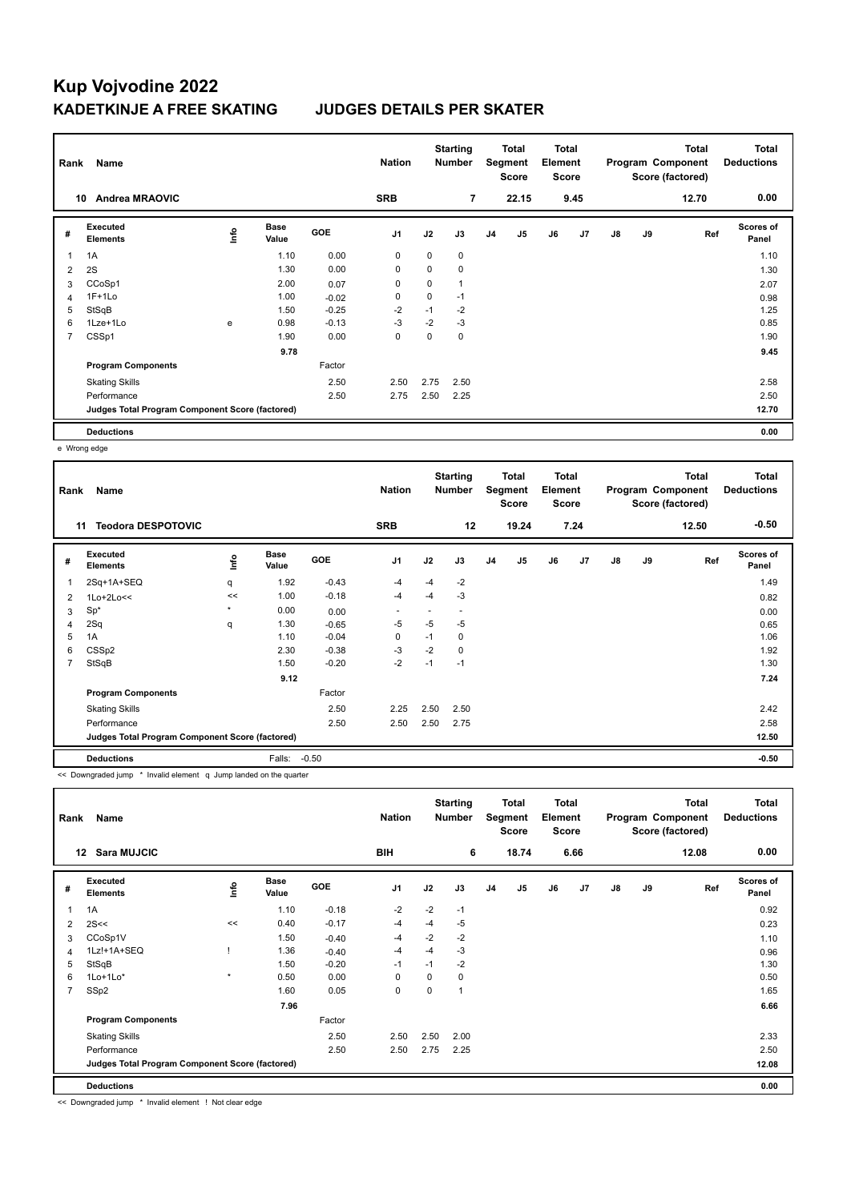| Rank           | Name                                            |      |                      |            | <b>Nation</b>  |             | <b>Starting</b><br><b>Number</b> |                | <b>Total</b><br>Segment<br><b>Score</b> | Total<br>Element<br><b>Score</b> |                |    |    | <b>Total</b><br>Program Component<br>Score (factored) | <b>Total</b><br><b>Deductions</b> |
|----------------|-------------------------------------------------|------|----------------------|------------|----------------|-------------|----------------------------------|----------------|-----------------------------------------|----------------------------------|----------------|----|----|-------------------------------------------------------|-----------------------------------|
| 10             | <b>Andrea MRAOVIC</b>                           |      |                      |            | <b>SRB</b>     |             | 7                                |                | 22.15                                   |                                  | 9.45           |    |    | 12.70                                                 | 0.00                              |
| #              | Executed<br><b>Elements</b>                     | Info | <b>Base</b><br>Value | <b>GOE</b> | J <sub>1</sub> | J2          | J3                               | J <sub>4</sub> | J <sub>5</sub>                          | J6                               | J <sub>7</sub> | J8 | J9 | Ref                                                   | Scores of<br>Panel                |
|                | 1A                                              |      | 1.10                 | 0.00       | 0              | $\mathbf 0$ | 0                                |                |                                         |                                  |                |    |    |                                                       | 1.10                              |
| $\overline{2}$ | 2S                                              |      | 1.30                 | 0.00       | 0              | 0           | 0                                |                |                                         |                                  |                |    |    |                                                       | 1.30                              |
| 3              | CCoSp1                                          |      | 2.00                 | 0.07       | 0              | 0           | 1                                |                |                                         |                                  |                |    |    |                                                       | 2.07                              |
| 4              | $1F+1Lo$                                        |      | 1.00                 | $-0.02$    | 0              | 0           | $-1$                             |                |                                         |                                  |                |    |    |                                                       | 0.98                              |
| 5              | StSqB                                           |      | 1.50                 | $-0.25$    | $-2$           | $-1$        | $-2$                             |                |                                         |                                  |                |    |    |                                                       | 1.25                              |
| 6              | 1Lze+1Lo                                        | e    | 0.98                 | $-0.13$    | $-3$           | $-2$        | $-3$                             |                |                                         |                                  |                |    |    |                                                       | 0.85                              |
| $\overline{7}$ | CSSp1                                           |      | 1.90                 | 0.00       | 0              | 0           | 0                                |                |                                         |                                  |                |    |    |                                                       | 1.90                              |
|                |                                                 |      | 9.78                 |            |                |             |                                  |                |                                         |                                  |                |    |    |                                                       | 9.45                              |
|                | <b>Program Components</b>                       |      |                      | Factor     |                |             |                                  |                |                                         |                                  |                |    |    |                                                       |                                   |
|                | <b>Skating Skills</b>                           |      |                      | 2.50       | 2.50           | 2.75        | 2.50                             |                |                                         |                                  |                |    |    |                                                       | 2.58                              |
|                | Performance                                     |      |                      | 2.50       | 2.75           | 2.50        | 2.25                             |                |                                         |                                  |                |    |    |                                                       | 2.50                              |
|                | Judges Total Program Component Score (factored) |      |                      |            |                |             |                                  |                |                                         |                                  |                |    |    |                                                       | 12.70                             |
|                | <b>Deductions</b>                               |      |                      |            |                |             |                                  |                |                                         |                                  |                |    |    |                                                       | 0.00                              |

e Wrong edge

| Rank | Name                                            |         |                      |            | <b>Nation</b>            |      | <b>Starting</b><br><b>Number</b> |                | Total<br>Segment<br><b>Score</b> | Total<br>Element<br><b>Score</b> |                |    |    | <b>Total</b><br>Program Component<br>Score (factored) | <b>Total</b><br><b>Deductions</b> |
|------|-------------------------------------------------|---------|----------------------|------------|--------------------------|------|----------------------------------|----------------|----------------------------------|----------------------------------|----------------|----|----|-------------------------------------------------------|-----------------------------------|
| 11   | <b>Teodora DESPOTOVIC</b>                       |         |                      |            | <b>SRB</b>               |      | 12                               |                | 19.24                            |                                  | 7.24           |    |    | 12.50                                                 | $-0.50$                           |
| #    | Executed<br><b>Elements</b>                     | lnfo    | <b>Base</b><br>Value | <b>GOE</b> | J <sub>1</sub>           | J2   | J3                               | J <sub>4</sub> | J <sub>5</sub>                   | J6                               | J <sub>7</sub> | J8 | J9 | Ref                                                   | Scores of<br>Panel                |
| 1    | 2Sq+1A+SEQ                                      | q       | 1.92                 | $-0.43$    | $-4$                     | $-4$ | $-2$                             |                |                                  |                                  |                |    |    |                                                       | 1.49                              |
| 2    | $1$ Lo+ $2$ Lo<<                                | <<      | 1.00                 | $-0.18$    | $-4$                     | $-4$ | -3                               |                |                                  |                                  |                |    |    |                                                       | 0.82                              |
| 3    | $Sp^*$                                          | $\star$ | 0.00                 | 0.00       | $\overline{\phantom{a}}$ |      | $\overline{\phantom{a}}$         |                |                                  |                                  |                |    |    |                                                       | 0.00                              |
| 4    | 2Sq                                             | q       | 1.30                 | $-0.65$    | -5                       | -5   | $-5$                             |                |                                  |                                  |                |    |    |                                                       | 0.65                              |
| 5    | 1A                                              |         | 1.10                 | $-0.04$    | 0                        | $-1$ | 0                                |                |                                  |                                  |                |    |    |                                                       | 1.06                              |
| 6    | CSSp2                                           |         | 2.30                 | $-0.38$    | $-3$                     | $-2$ | 0                                |                |                                  |                                  |                |    |    |                                                       | 1.92                              |
| 7    | StSqB                                           |         | 1.50                 | $-0.20$    | $-2$                     | $-1$ | $-1$                             |                |                                  |                                  |                |    |    |                                                       | 1.30                              |
|      |                                                 |         | 9.12                 |            |                          |      |                                  |                |                                  |                                  |                |    |    |                                                       | 7.24                              |
|      | <b>Program Components</b>                       |         |                      | Factor     |                          |      |                                  |                |                                  |                                  |                |    |    |                                                       |                                   |
|      | <b>Skating Skills</b>                           |         |                      | 2.50       | 2.25                     | 2.50 | 2.50                             |                |                                  |                                  |                |    |    |                                                       | 2.42                              |
|      | Performance                                     |         |                      | 2.50       | 2.50                     | 2.50 | 2.75                             |                |                                  |                                  |                |    |    |                                                       | 2.58                              |
|      | Judges Total Program Component Score (factored) |         |                      |            |                          |      |                                  |                |                                  |                                  |                |    |    |                                                       | 12.50                             |
|      | <b>Deductions</b>                               |         | Falls:               | $-0.50$    |                          |      |                                  |                |                                  |                                  |                |    |    |                                                       | $-0.50$                           |

<< Downgraded jump \* Invalid element q Jump landed on the quarter

| Rank           | Name                                            |             |                      |         | <b>Nation</b>  |          | <b>Starting</b><br><b>Number</b> |                | <b>Total</b><br>Segment<br><b>Score</b> | Total<br>Element<br><b>Score</b> |      |               |    | Total<br>Program Component<br>Score (factored) | <b>Total</b><br><b>Deductions</b> |
|----------------|-------------------------------------------------|-------------|----------------------|---------|----------------|----------|----------------------------------|----------------|-----------------------------------------|----------------------------------|------|---------------|----|------------------------------------------------|-----------------------------------|
| $12 \,$        | <b>Sara MUJCIC</b>                              |             |                      |         | BIH            |          | 6                                |                | 18.74                                   |                                  | 6.66 |               |    | 12.08                                          | 0.00                              |
| #              | Executed<br><b>Elements</b>                     | <u>lnfo</u> | <b>Base</b><br>Value | GOE     | J <sub>1</sub> | J2       | J3                               | J <sub>4</sub> | J5                                      | J6                               | J7   | $\mathsf{J}8$ | J9 | Ref                                            | <b>Scores of</b><br>Panel         |
|                | 1A                                              |             | 1.10                 | $-0.18$ | $-2$           | $-2$     | $-1$                             |                |                                         |                                  |      |               |    |                                                | 0.92                              |
| $\overline{2}$ | 2S<<                                            | <<          | 0.40                 | $-0.17$ | $-4$           | $-4$     | $-5$                             |                |                                         |                                  |      |               |    |                                                | 0.23                              |
| 3              | CCoSp1V                                         |             | 1.50                 | $-0.40$ | $-4$           | $-2$     | $-2$                             |                |                                         |                                  |      |               |    |                                                | 1.10                              |
| $\overline{4}$ | 1Lz!+1A+SEQ                                     |             | 1.36                 | $-0.40$ | $-4$           | $-4$     | $-3$                             |                |                                         |                                  |      |               |    |                                                | 0.96                              |
| 5              | StSqB                                           |             | 1.50                 | $-0.20$ | $-1$           | $-1$     | $-2$                             |                |                                         |                                  |      |               |    |                                                | 1.30                              |
| 6              | $1$ Lo $+1$ Lo $*$                              | $\star$     | 0.50                 | 0.00    | 0              | 0        | 0                                |                |                                         |                                  |      |               |    |                                                | 0.50                              |
| 7              | SSp2                                            |             | 1.60                 | 0.05    | $\mathbf 0$    | $\Omega$ | 1                                |                |                                         |                                  |      |               |    |                                                | 1.65                              |
|                |                                                 |             | 7.96                 |         |                |          |                                  |                |                                         |                                  |      |               |    |                                                | 6.66                              |
|                | <b>Program Components</b>                       |             |                      | Factor  |                |          |                                  |                |                                         |                                  |      |               |    |                                                |                                   |
|                | <b>Skating Skills</b>                           |             |                      | 2.50    | 2.50           | 2.50     | 2.00                             |                |                                         |                                  |      |               |    |                                                | 2.33                              |
|                | Performance                                     |             |                      | 2.50    | 2.50           | 2.75     | 2.25                             |                |                                         |                                  |      |               |    |                                                | 2.50                              |
|                | Judges Total Program Component Score (factored) |             |                      |         |                |          |                                  |                |                                         |                                  |      |               |    |                                                | 12.08                             |
|                | <b>Deductions</b>                               |             |                      |         |                |          |                                  |                |                                         |                                  |      |               |    |                                                | 0.00                              |

<< Downgraded jump \* Invalid element ! Not clear edge